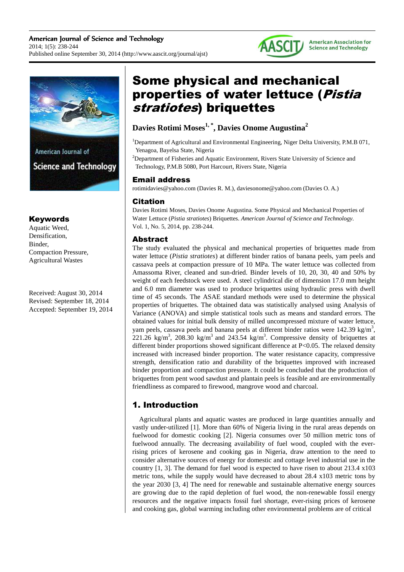



## Keywords

Aquatic Weed, Densification, Binder, Compaction Pressure, Agricultural Wastes

Received: August 30, 2014 Revised: September 18, 2014 Accepted: September 19, 2014

# Some physical and mechanical properties of water lettuce (Pistia stratiotes) briquettes

# **Davies Rotimi Moses1, \*, Davies Onome Augustina<sup>2</sup>**

<sup>1</sup>Department of Agricultural and Environmental Engineering, Niger Delta University, P.M.B 071, Yenagoa, Bayelsa State, Nigeria

<sup>2</sup>Department of Fisheries and Aquatic Environment, Rivers State University of Science and Technology, P.M.B 5080, Port Harcourt, Rivers State, Nigeria

## Email address

rotimidavies@yahoo.com (Davies R. M.), daviesonome@yahoo.com (Davies O. A.)

## Citation

Davies Rotimi Moses, Davies Onome Augustina. Some Physical and Mechanical Properties of Water Lettuce (*Pistia stratiotes*) Briquettes. *American Journal of Science and Technology.* Vol. 1, No. 5, 2014, pp. 238-244.

## Abstract

The study evaluated the physical and mechanical properties of briquettes made from water lettuce (*Pistia stratiotes*) at different binder ratios of banana peels, yam peels and cassava peels at compaction pressure of 10 MPa. The water lettuce was collected from Amassoma River, cleaned and sun-dried. Binder levels of 10, 20, 30, 40 and 50% by weight of each feedstock were used. A steel cylindrical die of dimension 17.0 mm height and 6.0 mm diameter was used to produce briquettes using hydraulic press with dwell time of 45 seconds. The ASAE standard methods were used to determine the physical properties of briquettes. The obtained data was statistically analysed using Analysis of Variance (ANOVA) and simple statistical tools such as means and standard errors. The obtained values for initial bulk density of milled uncompressed mixture of water lettuce, yam peels, cassava peels and banana peels at different binder ratios were 142.39 kg/m<sup>3</sup>, 221.26 kg/m<sup>3</sup>, 208.30 kg/m<sup>3</sup> and 243.54 kg/m<sup>3</sup>. Compressive density of briquettes at different binder proportions showed significant difference at P<0.05. The relaxed density increased with increased binder proportion. The water resistance capacity, compressive strength, densification ratio and durability of the briquettes improved with increased binder proportion and compaction pressure. It could be concluded that the production of briquettes from pent wood sawdust and plantain peels is feasible and are environmentally friendliness as compared to firewood, mangrove wood and charcoal.

# 1. Introduction

Agricultural plants and aquatic wastes are produced in large quantities annually and vastly under-utilized [1]. More than 60% of Nigeria living in the rural areas depends on fuelwood for domestic cooking [2]. Nigeria consumes over 50 million metric tons of fuelwood annually. The decreasing availability of fuel wood, coupled with the everrising prices of kerosene and cooking gas in Nigeria, draw attention to the need to consider alternative sources of energy for domestic and cottage level industrial use in the country [1, 3]. The demand for fuel wood is expected to have risen to about 213.4 x103 metric tons, while the supply would have decreased to about 28.4 x103 metric tons by the year 2030 [3, 4] The need for renewable and sustainable alternative energy sources are growing due to the rapid depletion of fuel wood, the non-renewable fossil energy resources and the negative impacts fossil fuel shortage, ever-rising prices of kerosene and cooking gas, global warming including other environmental problems are of critical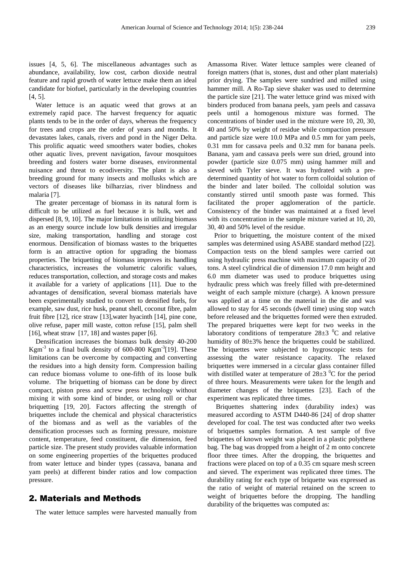issues [4, 5, 6]. The miscellaneous advantages such as abundance, availability, low cost, carbon dioxide neutral feature and rapid growth of water lettuce make them an ideal candidate for biofuel, particularly in the developing countries [4, 5].

Water lettuce is an aquatic weed that grows at an extremely rapid pace. The harvest frequency for aquatic plants tends to be in the order of days, whereas the frequency for trees and crops are the order of years and months. It devastates lakes, canals, rivers and pond in the Niger Delta. This prolific aquatic weed smoothers water bodies, chokes other aquatic lives, prevent navigation, favour mosquitoes breeding and fosters water borne diseases, environmental nuisance and threat to ecodiversity. The plant is also a breeding ground for many insects and mollusks which are vectors of diseases like bilharzias, river blindness and malaria [7].

The greater percentage of biomass in its natural form is difficult to be utilized as fuel because it is bulk, wet and dispersed [8, 9, 10]. The major limitations in utilizing biomass as an energy source include low bulk densities and irregular size, making transportation, handling and storage cost enormous. Densification of biomass wastes to the briquettes form is an attractive option for upgrading the biomass properties. The briquetting of biomass improves its handling characteristics, increases the volumetric calorific values, reduces transportation, collection, and storage costs and makes it available for a variety of applications [11]. Due to the advantages of densification, several biomass materials have been experimentally studied to convert to densified fuels, for example, saw dust, rice husk, peanut shell, coconut fibre, palm fruit fibre [12], rice straw [13],water hyacinth [14], pine cone, olive refuse, paper mill waste, cotton refuse [15], palm shell [16], wheat straw [17, 18] and wastes paper [6].

Densification increases the biomass bulk density 40-200  $Kgm^{-3}$  to a final bulk density of 600-800  $Kgm^{-3}[19]$ . These limitations can be overcome by compacting and converting the residues into a high density form. Compression bailing can reduce biomass volume to one-fifth of its loose bulk volume. The briquetting of biomass can be done by direct compact, piston press and screw press technology without mixing it with some kind of binder, or using roll or char briquetting [19, 20]. Factors affecting the strength of briquettes include the chemical and physical characteristics of the biomass and as well as the variables of the densification processes such as forming pressure, moisture content, temperature, feed constituent, die dimension, feed particle size. The present study provides valuable information on some engineering properties of the briquettes produced from water lettuce and binder types (cassava, banana and yam peels) at different binder ratios and low compaction pressure.

#### 2. Materials and Methods

The water lettuce samples were harvested manually from

Amassoma River. Water lettuce samples were cleaned of foreign matters (that is, stones, dust and other plant materials) prior drying. The samples were sundried and milled using hammer mill. A Ro-Tap sieve shaker was used to determine the particle size [21]. The water lettuce grind was mixed with binders produced from banana peels, yam peels and cassava peels until a homogenous mixture was formed. The concentrations of binder used in the mixture were 10, 20, 30, 40 and 50% by weight of residue while compaction pressure and particle size were 10.0 MPa and 0.5 mm for yam peels, 0.31 mm for cassava peels and 0.32 mm for banana peels. Banana, yam and cassava peels were sun dried, ground into powder (particle size 0.075 mm) using hammer mill and sieved with Tyler sieve. It was hydrated with a predetermined quantity of hot water to form colloidal solution of the binder and later boiled. The colloidal solution was constantly stirred until smooth paste was formed. This facilitated the proper agglomeration of the particle. Consistency of the binder was maintained at a fixed level with its concentration in the sample mixture varied at 10, 20, 30, 40 and 50% level of the residue.

Prior to briquetting, the moisture content of the mixed samples was determined using ASABE standard method [22]. Compaction tests on the blend samples were carried out using hydraulic press machine with maximum capacity of 20 tons. A steel cylindrical die of dimension 17.0 mm height and 6.0 mm diameter was used to produce briquettes using hydraulic press which was freely filled with pre-determined weight of each sample mixture (charge). A known pressure was applied at a time on the material in the die and was allowed to stay for 45 seconds (dwell time) using stop watch before released and the briquettes formed were then extruded. The prepared briquettes were kept for two weeks in the laboratory conditions of temperature  $28\pm3$  <sup>0</sup>C and relative humidity of 80±3% hence the briquettes could be stabilized. The briquettes were subjected to hygroscopic tests for assessing the water resistance capacity. The relaxed briquettes were immersed in a circular glass container filled with distilled water at temperature of  $28\pm3$  <sup>0</sup>C for the period of three hours. Measurements were taken for the length and diameter changes of the briquettes [23]. Each of the experiment was replicated three times.

 Briquettes shattering index (durability index) was measured according to ASTM D440-86 [24] of drop shatter developed for coal. The test was conducted after two weeks of briquettes samples formation. A test sample of five briquettes of known weight was placed in a plastic polythene bag. The bag was dropped from a height of 2 m onto concrete floor three times. After the dropping, the briquettes and fractions were placed on top of a 0.35 cm square mesh screen and sieved. The experiment was replicated three times. The durability rating for each type of briquette was expressed as the ratio of weight of material retained on the screen to weight of briquettes before the dropping. The handling durability of the briquettes was computed as: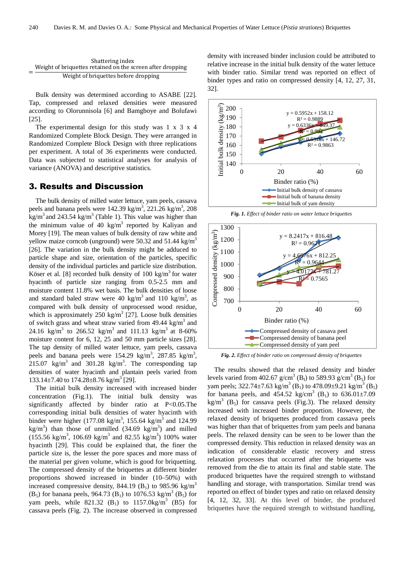| Shattering index                                           |
|------------------------------------------------------------|
| Weight of briquettes retained on the screen after dropping |
| Weight of briquettes before dropping                       |

Bulk density was determined according to ASABE [22]. Tap, compressed and relaxed densities were measured according to Olorunnisola [6] and Bamgboye and Bolufawi [25].

The experimental design for this study was  $1 \times 3 \times 4$ Randomized Complete Block Design. They were arranged in Randomized Complete Block Design with three replications per experiment. A total of 36 experiments were conducted. Data was subjected to statistical analyses for analysis of variance (ANOVA) and descriptive statistics.

#### 3. Results and Discussion

The bulk density of milled water lettuce, yam peels, cassava peels and banana peels were  $142.39 \text{ kg/m}^3$ ,  $221.26 \text{ kg/m}^3$ ,  $208$ kg/m<sup>3</sup> and 243.54 kg/m<sup>3</sup> (Table 1). This value was higher than the minimum value of 40 kg/m<sup>3</sup> reported by Kaliyan and Morey [19]. The mean values of bulk density of raw white and yellow maize corncob (unground) were 50.32 and 51.44 kg/m<sup>3</sup> [26]. The variation in the bulk density might be adduced to particle shape and size, orientation of the particles, specific density of the individual particles and particle size distribution. Köser et al. [8] recorded bulk density of 100 kg/m<sup>3</sup> for water hyacinth of particle size ranging from 0.5-2.5 mm and moisture content 11.8% wet basis. The bulk densities of loose and standard baled straw were 40 kg/m<sup>3</sup> and 110 kg/m<sup>3</sup>, as compared with bulk density of unprocessed wood residue, which is approximately  $250 \text{ kg/m}^3$  [27]. Loose bulk densities of switch grass and wheat straw varied from 49.44 kg/m<sup>3</sup> and 24.16 kg/m<sup>3</sup> to 266.52 kg/m<sup>3</sup> and 111.13 kg/m<sup>3</sup> at 8-60% moisture content for 6, 12, 25 and 50 mm particle sizes [28]. The tap density of milled water lettuce, yam peels, cassava peels and banana peels were  $154.29 \text{ kg/m}^3$ ,  $287.85 \text{ kg/m}^3$ , 215.07 kg/m<sup>3</sup> and 301.28 kg/m<sup>3</sup>. The corresponding tap densities of water hyacinth and plantain peels varied from  $133.14 \pm 7.40$  to  $174.28 \pm 8.76$  kg/m<sup>3</sup> [29].

The initial bulk density increased with increased binder concentration (Fig.1). The initial bulk density was significantly affected by binder ratio at P<0.05.The corresponding initial bulk densities of water hyacinth with binder were higher (177.08 kg/m<sup>3</sup>, 155.64 kg/m<sup>3</sup> and 124.99 kg/m<sup>3</sup>) than those of unmilled  $(34.69 \text{ kg/m}^3)$  and milled  $(155.56 \text{ kg/m}^3, 106.69 \text{ kg/m}^3 \text{ and } 82.55 \text{ kg/m}^3)$  100% water hyacinth [29]. This could be explained that, the finer the particle size is, the lesser the pore spaces and more mass of the material per given volume, which is good for briquetting. The compressed density of the briquettes at different binder proportions showed increased in binder (10–50%) with increased compressive density, 844.19 (B<sub>1</sub>) to 985.96 kg/m<sup>3</sup> (B<sub>5</sub>) for banana peels, 964.73 (B<sub>1</sub>) to 1076.53 kg/m<sup>3</sup> (B<sub>5</sub>) for yam peels, while  $821.32$  (B<sub>1</sub>) to  $1157.0 \text{kg/m}^3$  (B5) for cassava peels (Fig. 2). The increase observed in compressed

density with increased binder inclusion could be attributed to relative increase in the initial bulk density of the water lettuce with binder ratio. Similar trend was reported on effect of binder types and ratio on compressed density [4, 12, 27, 31, 32].



*Fig. 1. Effect of binder ratio on water lettuce briquettes* 



*Fig. 2. Effect of binder ratio on compressed density of briquettes* 

The results showed that the relaxed density and binder levels varied from 402.67  $g/cm^3$  (B<sub>1</sub>) to 589.93  $g/cm^3$  (B<sub>5</sub>) for yam peels; 322.74 $\pm$ 7.63 kg/m<sup>3</sup> (B<sub>1</sub>) to 478.09 $\pm$ 9.21 kg/m<sup>3</sup> (B<sub>5</sub>) for banana peels, and  $454.52 \text{ kg/cm}^3 \text{ (B)}$  to  $636.01 \pm 7.09$  $\text{kg/m}^3$  (B<sub>5</sub>) for cassava peels (Fig.3). The relaxed density increased with increased binder proportion. However, the relaxed density of briquettes produced from cassava peels was higher than that of briquettes from yam peels and banana peels. The relaxed density can be seen to be lower than the compressed density. This reduction in relaxed density was an indication of considerable elastic recovery and stress relaxation processes that occurred after the briquette was removed from the die to attain its final and stable state. The produced briquettes have the required strength to withstand handling and storage, with transportation. Similar trend was reported on effect of binder types and ratio on relaxed density [4, 12, 32, 33]. At this level of binder, the produced briquettes have the required strength to withstand handling,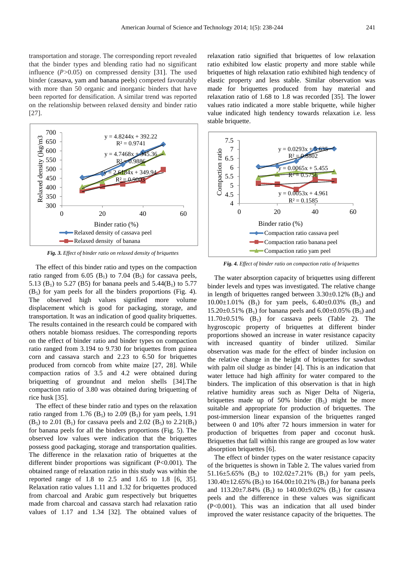transportation and storage. The corresponding report revealed that the binder types and blending ratio had no significant influence  $(P>0.05)$  on compressed density [31]. The used binder (cassava, yam and banana peels) competed favourably with more than 50 organic and inorganic binders that have been reported for densification. A similar trend was reported on the relationship between relaxed density and binder ratio [27].



*Fig. 3. Effect of binder ratio on relaxed density of briquettes* 

The effect of this binder ratio and types on the compaction ratio ranged from 6.05 ( $B_1$ ) to 7.04 ( $B_5$ ) for cassava peels, 5.13 (B<sub>1</sub>) to 5.27 (B5) for banana peels and 5.44(B<sub>1</sub>) to 5.77  $(B<sub>5</sub>)$  for yam peels for all the binders proportions (Fig. 4). The observed high values signified more volume displacement which is good for packaging, storage, and transportation. It was an indication of good quality briquettes. The results contained in the research could be compared with others notable biomass residues. The corresponding reports on the effect of binder ratio and binder types on compaction ratio ranged from 3.194 to 9.730 for briquettes from guinea corn and cassava starch and 2.23 to 6.50 for briquettes produced from corncob from white maize [27, 28]. While compaction ratios of 3.5 and 4.2 were obtained during briquetting of groundnut and melon shells [34].The compaction ratio of 3.80 was obtained during briquetting of rice husk [35].

The effect of these binder ratio and types on the relaxation ratio ranged from 1.76 ( $B_5$ ) to 2.09 ( $B_1$ ) for yam peels, 1.91  $(B_5)$  to 2.01  $(B_1)$  for cassava peels and 2.02  $(B_5)$  to 2.21 $(B_1)$ for banana peels for all the binders proportions (Fig. 5). The observed low values were indication that the briquettes possess good packaging, storage and transportation qualities. The difference in the relaxation ratio of briquettes at the different binder proportions was significant (P<0.001). The obtained range of relaxation ratio in this study was within the reported range of 1.8 to 2.5 and 1.65 to 1.8 [6, 35]. Relaxation ratio values 1.11 and 1.32 for briquettes produced from charcoal and Arabic gum respectively but briquettes made from charcoal and cassava starch had relaxation ratio values of 1.17 and 1.34 [32]. The obtained values of relaxation ratio signified that briquettes of low relaxation ratio exhibited low elastic property and more stable while briquettes of high relaxation ratio exhibited high tendency of elastic property and less stable. Similar observation was made for briquettes produced from hay material and relaxation ratio of 1.68 to 1.8 was recorded [35]. The lower values ratio indicated a more stable briquette, while higher value indicated high tendency towards relaxation i.e. less stable briquette.



*Fig. 4. Effect of binder ratio on compaction ratio of briquettes* 

The water absorption capacity of briquettes using different binder levels and types was investigated. The relative change in length of briquettes ranged between  $3.30\pm0.12\%$  (B<sub>5</sub>) and  $10.00 \pm 1.01\%$  (B<sub>1</sub>) for yam peels,  $6.40 \pm 0.03\%$  (B<sub>5</sub>) and 15.20 $\pm$ 0.51% (B<sub>1</sub>) for banana peels and 6.00 $\pm$ 0.05% (B<sub>5</sub>) and  $11.70 \pm 0.51\%$  (B<sub>1</sub>) for cassava peels (Table 2). The hygroscopic property of briquettes at different binder proportions showed an increase in water resistance capacity with increased quantity of binder utilized. Similar observation was made for the effect of binder inclusion on the relative change in the height of briquettes for sawdust with palm oil sludge as binder [4]. This is an indication that water lettuce had high affinity for water compared to the binders. The implication of this observation is that in high relative humidity areas such as Niger Delta of Nigeria, briquettes made up of 50% binder  $(B_5)$  might be more suitable and appropriate for production of briquettes. The post-immersion linear expansion of the briquettes ranged between 0 and 10% after 72 hours immersion in water for production of briquettes from paper and coconut husk. Briquettes that fall within this range are grouped as low water absorption briquettes [6].

The effect of binder types on the water resistance capacity of the briquettes is shown in Table 2. The values varied from 51.16 $\pm$ 5.65% (B<sub>5</sub>) to 102.02 $\pm$ 7.21% (B<sub>1</sub>) for yam peels, 130.40 $\pm$ 12.65% (B<sub>5</sub>) to 164.00 $\pm$ 10.21% (B<sub>1</sub>) for banana peels and  $113.20\pm7.84\%$  (B<sub>5</sub>) to  $140.00\pm9.02\%$  (B<sub>1</sub>) for cassava peels and the difference in these values was significant (P<0.001). This was an indication that all used binder improved the water resistance capacity of the briquettes. The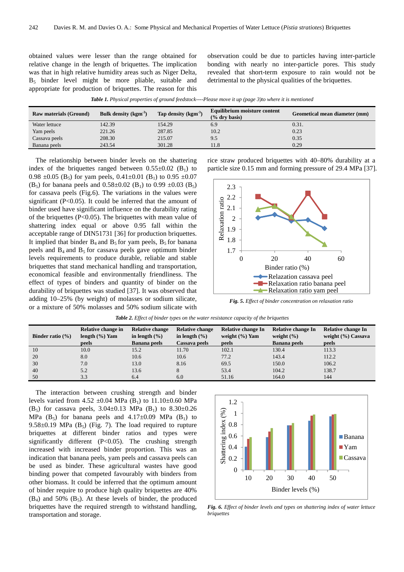obtained values were lesser than the range obtained for relative change in the length of briquettes. The implication was that in high relative humidity areas such as Niger Delta, B5 binder level might be more pliable, suitable and appropriate for production of briquettes. The reason for this observation could be due to particles having inter-particle bonding with nearly no inter-particle pores. This study revealed that short-term exposure to rain would not be detrimental to the physical qualities of the briquettes.

*Table 1. Physical properties of ground feedstock----Please move it up (page 3)to where it is mentioned* 

| <b>Raw materials (Ground)</b> | Bulk density $(kgm-3)$ | Tap density $(kgm-3)$ | Equilibrium moisture content<br>$(%$ dry basis) | Geometical mean diameter (mm) |
|-------------------------------|------------------------|-----------------------|-------------------------------------------------|-------------------------------|
| Water lettuce                 | 142.39                 | 154.29                | 6.9                                             | 0.31.                         |
| Yam peels                     | 221.26                 | 287.85                | 10.2                                            | 0.23                          |
| Cassava peels                 | 208.30                 | 215.07                | 9.5                                             | 0.35                          |
| Banana peels                  | 243.54                 | 301.28                | 11.8                                            | 0.29                          |

The relationship between binder levels on the shattering index of the briquettes ranged between  $0.55\pm0.02$  (B<sub>1</sub>) to 0.98  $\pm$ 0.05 (B<sub>5</sub>) for yam peels, 0.41 $\pm$ 0.01 (B<sub>1</sub>) to 0.95  $\pm$ 0.07 (B<sub>5</sub>) for banana peels and  $0.58\pm0.02$  (B<sub>1</sub>) to 0.99  $\pm0.03$  (B<sub>5</sub>) for cassava peels (Fig.6). The variations in the values were significant (P<0.05). It could be inferred that the amount of binder used have significant influence on the durability rating of the briquettes (P<0.05). The briquettes with mean value of shattering index equal or above 0.95 fall within the acceptable range of DIN51731 [36] for production briquettes. It implied that binder  $B_4$  and  $B_5$  for yam peels,  $B_5$  for banana peels and  $B_4$  and  $B_5$  for cassava peels gave optimum binder levels requirements to produce durable, reliable and stable briquettes that stand mechanical handling and transportation, economical feasible and environmentally friendliness. The effect of types of binders and quantity of binder on the durability of briquettes was studied [37]. It was observed that adding 10–25% (by weight) of molasses or sodium silicate, or a mixture of 50% molasses and 50% sodium silicate with rice straw produced briquettes with 40–80% durability at a particle size 0.15 mm and forming pressure of 29.4 MPa [37].



*Fig. 5. Effect of binder concentration on relaxation ratio* 

|  | <b>Table 2.</b> Effect of binder types on the water resistance capacity of the briquettes |
|--|-------------------------------------------------------------------------------------------|
|--|-------------------------------------------------------------------------------------------|

| Binder ratio $(\% )$ | Relative change in<br>length $(\% )$ Yam | <b>Relative change</b><br>in length $(\% )$ | <b>Relative change</b><br>in length $(\% )$ | Relative change In<br>weight $(\% )$ Yam | Relative change In<br>weight $(\% )$ | Relative change In<br>weight (%) Cassava |
|----------------------|------------------------------------------|---------------------------------------------|---------------------------------------------|------------------------------------------|--------------------------------------|------------------------------------------|
|                      | peels                                    | <b>Banana peels</b>                         | Cassava peels                               | peels                                    | <b>Banana</b> peels                  | peels                                    |
| 10                   | 10.0                                     | 15.2                                        | 11.70                                       | 102.1                                    | 130.4                                | 113.3                                    |
| 20                   | 8.0                                      | 10.6                                        | 10.6                                        | 77.2                                     | 143.4                                | 112.2                                    |
| 30                   | 7.0                                      | 13.0                                        | 8.16                                        | 69.5                                     | 150.0                                | 106.2                                    |
| 40                   | 5.2                                      | 13.6                                        | 8                                           | 53.4                                     | 104.2                                | 138.7                                    |
| 50                   | 3.3                                      | 6.4                                         | 6.0                                         | 51.16                                    | 164.0                                | 144                                      |

The interaction between crushing strength and binder levels varied from 4.52  $\pm 0.04$  MPa (B<sub>1</sub>) to 11.10 $\pm 0.60$  MPa (B<sub>5</sub>) for cassava peels,  $3.04 \pm 0.13$  MPa (B<sub>1</sub>) to  $8.30 \pm 0.26$ MPa (B<sub>5</sub>) for banana peels and  $4.17\pm0.09$  MPa (B<sub>1</sub>) to 9.58 $\pm$ 0.19 MPa (B<sub>5</sub>) (Fig. 7). The load required to rupture briquettes at different binder ratios and types were significantly different (P<0.05). The crushing strength increased with increased binder proportion. This was an indication that banana peels, yam peels and cassava peels can be used as binder. These agricultural wastes have good binding power that competed favourably with binders from other biomass. It could be inferred that the optimum amount of binder require to produce high quality briquettes are 40%  $(B_4)$  and 50%  $(B_5)$ . At these levels of binder, the produced briquettes have the required strength to withstand handling, transportation and storage.



*Fig. 6. Effect of binder levels and types on shattering index of water lettuce briquettes*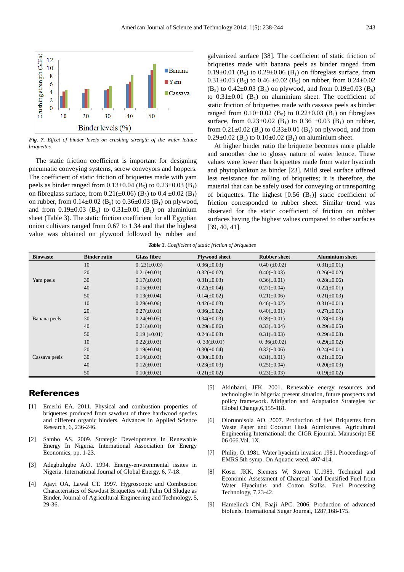

*Fig. 7. Effect of binder levels on crushing strength of the water lettuce briquettes* 

The static friction coefficient is important for designing pneumatic conveying systems, screw conveyors and hoppers. The coefficient of static friction of briquettes made with yam peels as binder ranged from  $0.13 \pm 0.04$  (B<sub>5</sub>) to  $0.23 \pm 0.03$  (B<sub>1</sub>) on fibreglass surface, from  $0.21(\pm 0.06)$  (B<sub>5</sub>) to  $0.4 \pm 0.02$  (B<sub>1</sub>) on rubber, from  $0.14 \pm 0.02$  (B<sub>5</sub>) to  $0.36 \pm 0.03$  (B<sub>1</sub>) on plywood, and from  $0.19\pm0.03$  (B<sub>5</sub>) to  $0.31\pm0.01$  (B<sub>1</sub>) on aluminium sheet (Table 3). The static friction coefficient for all Egyptian onion cultivars ranged from 0.67 to 1.34 and that the highest value was obtained on plywood followed by rubber and

galvanized surface [38]. The coefficient of static friction of briquettes made with banana peels as binder ranged from 0.19 $\pm$ 0.01 (B<sub>5</sub>) to 0.29 $\pm$ 0.06 (B<sub>1</sub>) on fibreglass surface, from  $0.31\pm0.03$  (B<sub>5</sub>) to 0.46  $\pm0.02$  (B<sub>5</sub>) on rubber, from 0.24 $\pm0.02$  $(B_5)$  to 0.42±0.03  $(B_5)$  on plywood, and from 0.19±0.03  $(B_5)$ to  $0.31\pm0.01$  (B<sub>1</sub>) on aluminium sheet. The coefficient of static friction of briquettes made with cassava peels as binder ranged from  $0.10 \pm 0.02$  (B<sub>5</sub>) to  $0.22 \pm 0.03$  (B<sub>1</sub>) on fibreglass surface, from  $0.23 \pm 0.02$  (B<sub>1</sub>) to  $0.36 \pm 0.03$  (B<sub>1</sub>) on rubber, from  $0.21 \pm 0.02$  (B<sub>5</sub>) to  $0.33 \pm 0.01$  (B<sub>1</sub>) on plywood, and from  $0.29\pm0.02$  (B<sub>5</sub>) to  $0.10\pm0.02$  (B<sub>1</sub>) on aluminium sheet.

At higher binder ratio the briquette becomes more pliable and smoother due to glossy nature of water lettuce. These values were lower than briquettes made from water hyacinth and phytoplankton as binder [23]. Mild steel surface offered less resistance for rolling of briquettes; it is therefore, the material that can be safely used for conveying or transporting of briquettes. The highest  $[0.56 \ (B_1)]$  static coefficient of friction corresponded to rubber sheet. Similar trend was observed for the static coefficient of friction on rubber surfaces having the highest values compared to other surfaces [39, 40, 41].

|  |  |  |  | <b>Table 3.</b> Coefficient of static friction of briquettes |
|--|--|--|--|--------------------------------------------------------------|
|--|--|--|--|--------------------------------------------------------------|

| <b>Biowaste</b> | <b>Binder ratio</b> | <b>Glass fibre</b>  | <b>Plywood sheet</b> | <b>Rubber sheet</b> | <b>Aluminium sheet</b> |
|-----------------|---------------------|---------------------|----------------------|---------------------|------------------------|
|                 | 10                  | $0.23(\pm 0.03)$    | $0.36(\pm 0.03)$     | $0.40 (\pm 0.02)$   | $0.31(\pm 0.01)$       |
|                 | 20                  | $0.21(\pm 0.01)$    | $0.32(\pm 0.02)$     | $0.40(\pm 0.03)$    | $0.26(\pm 0.02)$       |
| Yam peels       | 30                  | $0.17(\pm 0.03)$    | $0.31(\pm 0.03)$     | $0.36(\pm 0.01)$    | $0.28(\pm 0.06)$       |
|                 | 40                  | $0.15(\pm 0.03)$    | $0.22(\pm 0.04)$     | $0.27(\pm 0.04)$    | $0.22(\pm 0.01)$       |
|                 | 50                  | $0.13(\pm 0.04)$    | $0.14(\pm 0.02)$     | $0.21(\pm 0.06)$    | $0.21(\pm 0.03)$       |
|                 | 10                  | $0.29(\pm 0.06)$    | $0.42(\pm 0.03)$     | $0.46(\pm 0.02)$    | $0.31(\pm 0.01)$       |
|                 | 20                  | $0.27(\pm 0.01)$    | $0.36(\pm 0.02)$     | $0.40(\pm 0.01)$    | $0.27(\pm 0.01)$       |
| Banana peels    | 30                  | $0.24(\pm 0.05)$    | $0.34(\pm 0.03)$     | $0.39(\pm 0.01)$    | $0.28(\pm 0.03)$       |
|                 | 40                  | $0.21(\pm 0.01)$    | $0.29(\pm 0.06)$     | $0.33(\pm 0.04)$    | $0.29(\pm 0.05)$       |
|                 | 50                  | $0.19 \ (\pm 0.01)$ | $0.24(\pm 0.03)$     | $0.31(\pm 0.03)$    | $0.29(\pm 0.03)$       |
|                 | 10                  | $0.22(\pm 0.03)$    | $0.33(\pm 0.01)$     | $0.36(\pm 0.02)$    | $0.29(\pm 0.02)$       |
|                 | 20                  | $0.19(\pm 0.04)$    | $0.30(\pm 0.04)$     | $0.32(\pm 0.06)$    | $0.24(\pm 0.01)$       |
| Cassava peels   | 30                  | $0.14(\pm 0.03)$    | $0.30(\pm 0.03)$     | $0.31(\pm 0.01)$    | $0.21(\pm 0.06)$       |
|                 | 40                  | $0.12(\pm 0.03)$    | $0.23(\pm 0.03)$     | $0.25(\pm 0.04)$    | $0.20(\pm 0.03)$       |
|                 | 50                  | $0.10(\pm 0.02)$    | $0.21(\pm 0.02)$     | $0.23(\pm 0.03)$    | $0.19(\pm 0.02)$       |

#### References

- [1] Emerhi EA. 2011. Physical and combustion properties of briquettes produced from sawdust of three hardwood species and different organic binders. Advances in Applied Science Research, 6, 236-246.
- [2] Sambo AS. 2009. Strategic Developments In Renewable Energy In Nigeria. International Association for Energy Economics, pp. 1-23.
- [3] Adegbulugbe A.O. 1994. Energy-environmental issites in Nigeria. International Journal of Global Energy, 6, 7-18.
- [4] Ajayi OA, Lawal CT. 1997. Hygroscopic and Combustion Characteristics of Sawdust Briquettes with Palm Oil Sludge as Binder, Journal of Agricultural Engineering and Technology, 5, 29-36.
- [5] Akinbami, JFK. 2001. Renewable energy resources and technologies in Nigeria: present situation, future prospects and policy framework. Mitigation and Adaptation Strategies for Global Change,6,155-181.
- [6] Olorunnisola AO. 2007. Production of fuel Briquettes from Waste Paper and Coconut Husk Admixtures. Agricultural Engineering International: the CIGR Ejournal. Manuscript EE 06 066.Vol. 1X.
- [7] Philip, O. 1981. Water hyacinth invasion 1981. Proceedings of EMRS 5th symp. On Aquatic weed, 407-414.
- [8] Köser JKK, Siemers W, Stuven U.1983. Technical and Economic Assessment of Charcoal `and Densified Fuel from Water Hyacinths and Cotton Stalks. Fuel Processing Technology, 7,23-42.
- [9] Hamelinck CN, Faaji APC. 2006. Production of advanced biofuels. International Sugar Journal, 1287,168-175.